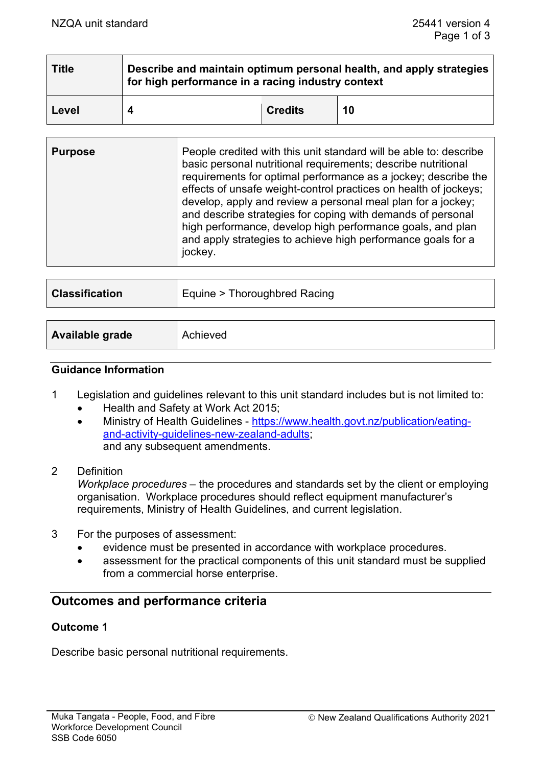| <b>Title</b> | Describe and maintain optimum personal health, and apply strategies<br>for high performance in a racing industry context |                |    |
|--------------|--------------------------------------------------------------------------------------------------------------------------|----------------|----|
| Level        |                                                                                                                          | <b>Credits</b> | 10 |

| develop, apply and review a personal meal plan for a jockey;<br>and describe strategies for coping with demands of personal<br>high performance, develop high performance goals, and plan<br>and apply strategies to achieve high performance goals for a<br>jockey. |
|----------------------------------------------------------------------------------------------------------------------------------------------------------------------------------------------------------------------------------------------------------------------|
|----------------------------------------------------------------------------------------------------------------------------------------------------------------------------------------------------------------------------------------------------------------------|

| <b>Classification</b> | Equine > Thoroughbred Racing |
|-----------------------|------------------------------|
|                       |                              |
|                       |                              |

| Available grade | Achieved |
|-----------------|----------|
|                 |          |

## **Guidance Information**

- 1 Legislation and guidelines relevant to this unit standard includes but is not limited to:
	- Health and Safety at Work Act 2015;
	- Ministry of Health Guidelines [https://www.health.govt.nz/publication/eating](https://www.health.govt.nz/publication/eating-and-activity-guidelines-new-zealand-adults)[and-activity-guidelines-new-zealand-adults;](https://www.health.govt.nz/publication/eating-and-activity-guidelines-new-zealand-adults) and any subsequent amendments.
- 2 Definition

*Workplace procedures* – the procedures and standards set by the client or employing organisation. Workplace procedures should reflect equipment manufacturer's requirements, Ministry of Health Guidelines, and current legislation.

- 3 For the purposes of assessment:
	- evidence must be presented in accordance with workplace procedures.
	- assessment for the practical components of this unit standard must be supplied from a commercial horse enterprise.

# **Outcomes and performance criteria**

### **Outcome 1**

Describe basic personal nutritional requirements.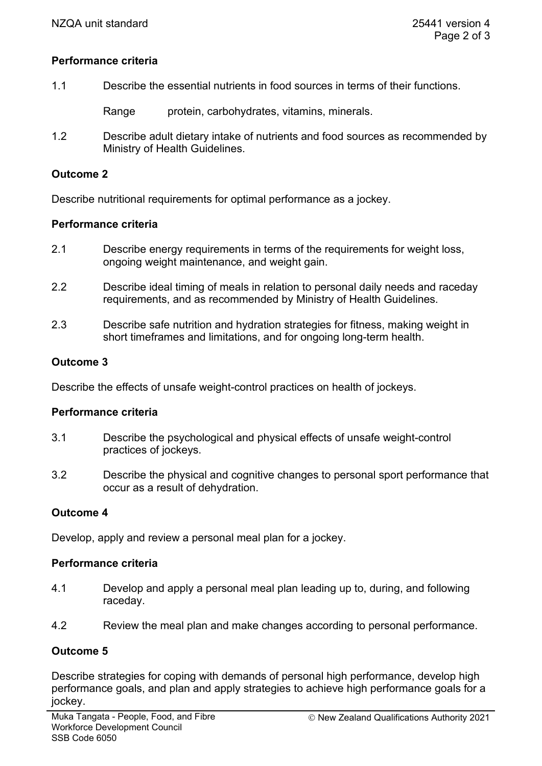## **Performance criteria**

| Describe the essential nutrients in food sources in terms of their functions.<br>1.1 |
|--------------------------------------------------------------------------------------|
|--------------------------------------------------------------------------------------|

Range protein, carbohydrates, vitamins, minerals.

1.2 Describe adult dietary intake of nutrients and food sources as recommended by Ministry of Health Guidelines.

#### **Outcome 2**

Describe nutritional requirements for optimal performance as a jockey.

### **Performance criteria**

- 2.1 Describe energy requirements in terms of the requirements for weight loss, ongoing weight maintenance, and weight gain.
- 2.2 Describe ideal timing of meals in relation to personal daily needs and raceday requirements, and as recommended by Ministry of Health Guidelines.
- 2.3 Describe safe nutrition and hydration strategies for fitness, making weight in short timeframes and limitations, and for ongoing long-term health.

### **Outcome 3**

Describe the effects of unsafe weight-control practices on health of jockeys.

### **Performance criteria**

- 3.1 Describe the psychological and physical effects of unsafe weight-control practices of jockeys.
- 3.2 Describe the physical and cognitive changes to personal sport performance that occur as a result of dehydration.

### **Outcome 4**

Develop, apply and review a personal meal plan for a jockey.

#### **Performance criteria**

- 4.1 Develop and apply a personal meal plan leading up to, during, and following raceday.
- 4.2 Review the meal plan and make changes according to personal performance.

### **Outcome 5**

Describe strategies for coping with demands of personal high performance, develop high performance goals, and plan and apply strategies to achieve high performance goals for a jockey.